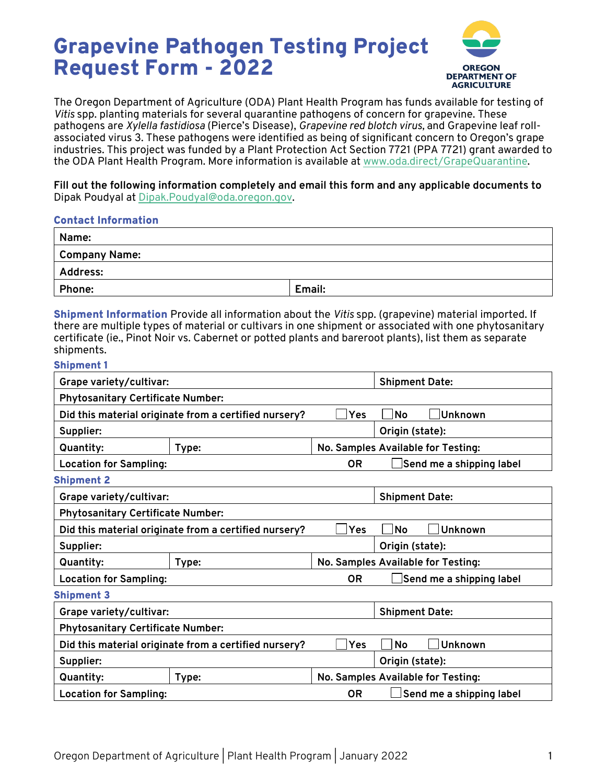# Grapevine Pathogen Testing Project Request Form - 2022



The Oregon Department of Agriculture (ODA) Plant Health Program has funds available for testing of *Vitis* spp. planting materials for several quarantine pathogens of concern for grapevine. These pathogens are *Xylella fastidiosa* (Pierce's Disease), *Grapevine red blotch virus,* and Grapevine leaf rollassociated virus 3. These pathogens were identified as being of significant concern to Oregon's grape industries. This project was funded by a Plant Protection Act Section 7721 (PPA 7721) grant awarded to the ODA Plant Health Program. More information is available at www.oda.direct/GrapeQuarantine.

**Fill out the following information completely and email this form and any applicable documents to** Dipak Poudyal at Dipak.Poudyal@oda.oregon.gov.

#### Contact Information

| Name:           |        |  |  |  |
|-----------------|--------|--|--|--|
| Company Name:   |        |  |  |  |
| <b>Address:</b> |        |  |  |  |
| Phone:          | Email: |  |  |  |

Shipment Information Provide all information about the *Vitis* spp. (grapevine) material imported. If there are multiple types of material or cultivars in one shipment or associated with one phytosanitary certificate (ie., Pinot Noir vs. Cabernet or potted plants and bareroot plants), list them as separate shipments.

#### Shipment 1

| Grape variety/cultivar:                               |                       |                                    | <b>Shipment Date:</b>              |                          |  |  |
|-------------------------------------------------------|-----------------------|------------------------------------|------------------------------------|--------------------------|--|--|
| <b>Phytosanitary Certificate Number:</b>              |                       |                                    |                                    |                          |  |  |
| Did this material originate from a certified nursery? |                       | Yes                                | No                                 | Unknown                  |  |  |
| Supplier:                                             |                       | Origin (state):                    |                                    |                          |  |  |
| <b>Quantity:</b>                                      | Type:                 | No. Samples Available for Testing: |                                    |                          |  |  |
| <b>Location for Sampling:</b>                         |                       | <b>OR</b>                          |                                    | Send me a shipping label |  |  |
| <b>Shipment 2</b>                                     |                       |                                    |                                    |                          |  |  |
| Grape variety/cultivar:                               | <b>Shipment Date:</b> |                                    |                                    |                          |  |  |
| <b>Phytosanitary Certificate Number:</b>              |                       |                                    |                                    |                          |  |  |
| Did this material originate from a certified nursery? |                       | Yes                                | No                                 | Unknown                  |  |  |
| Supplier:                                             | Origin (state):       |                                    |                                    |                          |  |  |
| <b>Quantity:</b>                                      | Type:                 |                                    | No. Samples Available for Testing: |                          |  |  |
| <b>Location for Sampling:</b>                         |                       | <b>OR</b>                          |                                    | Send me a shipping label |  |  |
| <b>Shipment 3</b>                                     |                       |                                    |                                    |                          |  |  |
| Grape variety/cultivar:                               |                       |                                    | <b>Shipment Date:</b>              |                          |  |  |
| <b>Phytosanitary Certificate Number:</b>              |                       |                                    |                                    |                          |  |  |
| Did this material originate from a certified nursery? |                       | Yes                                | No                                 | Unknown                  |  |  |
| Supplier:                                             |                       | Origin (state):                    |                                    |                          |  |  |
| <b>Quantity:</b>                                      | Type:                 | No. Samples Available for Testing: |                                    |                          |  |  |
| <b>Location for Sampling:</b>                         |                       | 0R                                 |                                    | Send me a shipping label |  |  |